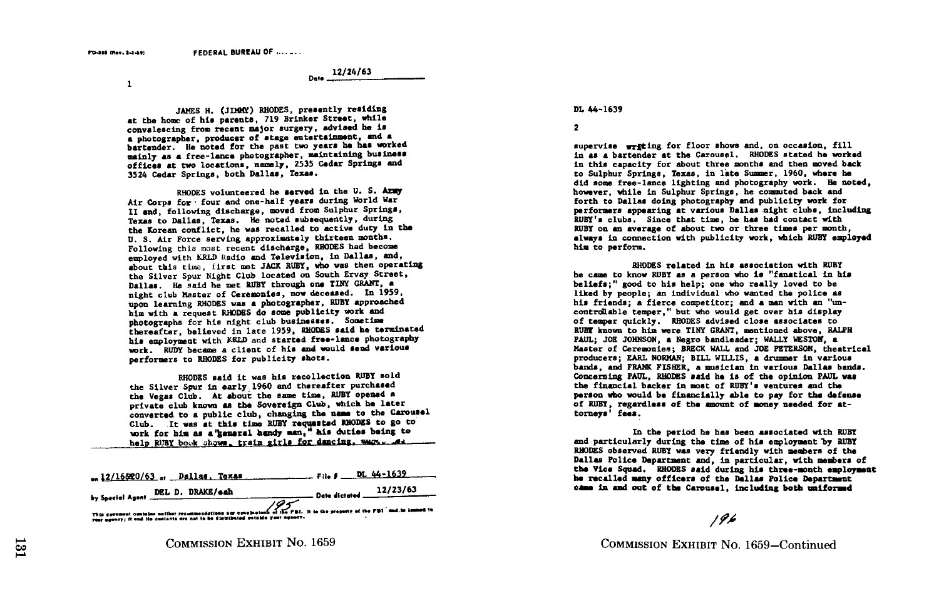Date . 12/24/63

 $\mathbf{1}$ 

JAMES H. (JIMMY) RHODES, presently residing at the home of his parents, 719 Brinker Street, while convalescing from recent major surgery, advised he is <sup>a</sup> photographer, producer of stage entertainment, and <sup>a</sup> bartender . He noted for the past two years he has worked mainly as <sup>a</sup> free-lance photographer, maintaining business offices at two locations, namely, 2535 Cedar Springs and 3524 Cedar Springs, both Dallas, Texas .

RHODES volunteered he served in the U. S. Army Air Corps for four and one-half years during World War II and, following discharge, moved from Sulphur Springs, Texas to Dallas, Texas. He noted subsequently, during the Korean conflict, he was recalled to active duty in the U. S. Air Force serving approximately thirteen months. Following this most recent discharge, RHODES had become employed with KRLD Radio and Television, in Dallas, and, about this time., first met JACK RUBY, who was then operating the Silver Spur Night Club located on South Ervay Street, Dallas. He said he met RUBY through one TINY GRANT, a night club Master of Ceremonies, now deceased. In 1959, upon learning RHODES was <sup>a</sup> photographer, RUBY approached him with a request RHODES do some publicity work and photographs for his night club businesses . Sometime thereafter, believed in late 1959, RHODES said he terminated his employment with RRLD and started free-lance photography work. RUDY became a client of his and would send various performers to RHODES for publicity shots .

RHODES said it was his recollection RUBY sold the Silver Spur in early,1960 and thereafter purchased the Vegas Club. At about the same time, RUBY opened a private club known as the Sovereign Club, which he later private club known as the Sovereign Club, which he later<br>converted to a public club, changing the name to the Carousal<br>man to the carousal public club, changing the name to the Club . It was at this time RUBY regraested RHODES to go to work for him as a kemeral handy man," his duties being to help RUBY book shows, train girls for dancing, maps. At

| USID KUDI DOGE SHAMB ETGTU KTITE TAT RENTWET DER TO THE                                                                                                                                                      |                          |
|--------------------------------------------------------------------------------------------------------------------------------------------------------------------------------------------------------------|--------------------------|
| 12/16820/63  Dallas. Texas                                                                                                                                                                                   | <b>Elle #</b> DL 44-1639 |
| by Special Agent DEL D. DRAKE/cah                                                                                                                                                                            | Date dictated $12/23/63$ |
| This decreases contains notther recommendations nor conclusions of the PBI. It is the property of the PBI and to immedite<br>your agency; it and its contents are not to be distributed outside your agency. |                          |

### DL 44-1639

supervise wrating for floor shows and, on occasion, fill in as a bartender at the Carousel. RHODES stated he worked in this capacity for about three months and then moved back to Sulphur Springs, Texas, in late Summer, 1960, where he did some free-lance lighting and photography work . He noted, however, while in Sulphur Springs, he commuted back and forth to Dallas doing photography and publicity work for performers appearing at various Dallas night clubs, including RUBY's clubs . Since that time, he has had contact with RUBY on an average of about two or three times per month, always in connection with publicity work, which RUBY employed him to perform .

RHODES related in his association with RUBY he came to know RUBY as a person who is "fanatical in his beliefs:" good to his help; one who really loved to be liked by people: an individual who wanted the police as his friends; a fierce competitor; and a man with an "uncontrollable temper," but who would get over his display of temper quickly . RHODES advised close associates to RUBY known to him were TINY GRANT, mentioned above, RALPH PAUL: JOE JOHNSON, a Negro bandleader: WALLY WESTON, a Master of Ceremonies ; BRECK WALL and JOE PETERSON, theatrical producers ; EARL NORMAN; BILL WILLIS, a drummer in various bands, and FRANK FISHER, a musician in various Dallas bands . Concerning PAUL, RHODES said he is of the opinion PAUL was the financial backer in most of RUBY's ventures and the person who would be financially able to pay for the defense of RUBY, regardless of the amount of money needed for attorneys' fees .

In the period he has been associated with RUBY and particularly during the time of his employment by RUBY RHODES observed RUBY was very friendly with members of the Dallas Police Department and, in particular, with members of the Vice Squad. RHODES said during his three-month employment he recalled many officers of the Dallas Police Department came in and out of the Carousel, including both uniformed

# $196$

COMMISSION EXHIBIT No. 1659-Continued

<sup>2</sup>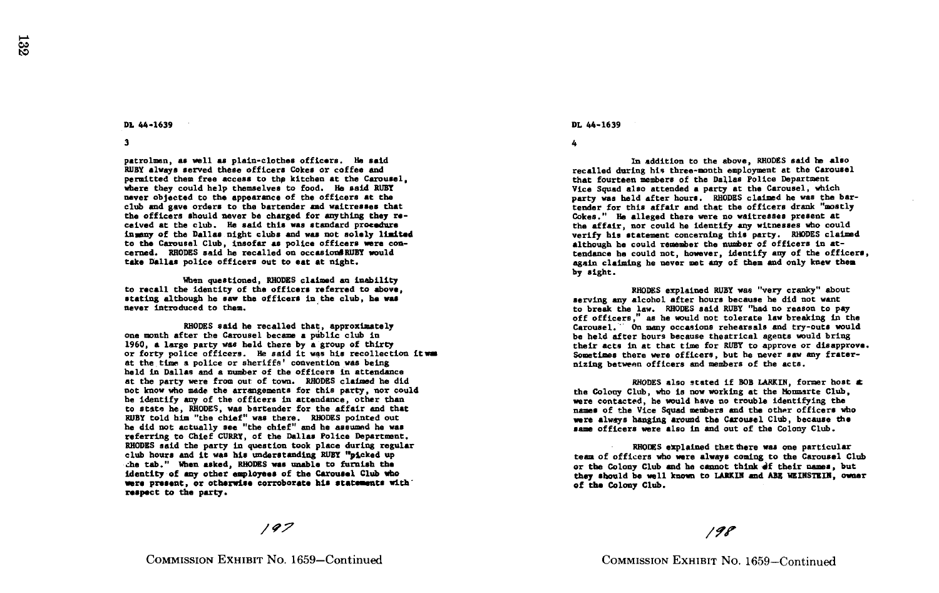### DL 44-1639

3

patrolmen, as well as plain-clothes officers. He said RUBY always served these officers Cokes or coffee and permitted them free access to the kitchen at the Carousel, where they could help themselves to food. He said RUBY never objected to the appearance of the officers at the club and gave orders to the bartender and waitresses that the officers should never be charged for anything they received at the club. He said this was standard procedure insany of the Dallas night clubs and was not solely limited to the Carousel Club, insofar as police officers were concerned. RHODES said he recalled on occasions RUBY would take Dallas police officers out to eat at night.

When questioned, RHODES claimed an inability to recall the identity of the officers referred to above, stating although he saw the officers in the club, be was never introduced to them.

RHODES said he recalled that, approximately one month after the Carousel became a public club in 1960, a large party was held there by a group of thirty or forty police officers. He said it was his recollection it was at the time a police or sheriffs' convention was being held in Dallas and a number of the officers in attendance at the party were from out of town. RHODES claimed he did not know who made the arrangements for this party, nor could he identify any of the officers in attendance, other than to state he, RHODES, was bartender for the affair and that RUBY told him "the chief" was there . RHODES pointed out he did not actually see "the chief" and he assumed he was referring to Chief CURRY, of the Dallas Police Department . RHODES said the party in question took place during regular club hours and it was his understanding RUBY "picked up the tab ." When asked, RHODES was unable to furnish the identity of any other employees of the Carousel Club who were present, or otherwise corroborate his statements with respect to the party .

### $197$

#### DL 44-1639

4

In addition to the above, RHODES said he also recalled during his three-month employment at the Carousel that fourteen members of the Dallas Police Department Vice Squad also attended a party at the Carousel, which party was held after hours. RHODES claimed he was the bartender for this affair and that the officers drank "mostly Cokes ." He alleged there were no waitresses present at the affair, nor could he identify any witnesses who could verify his statement concerning this party . RHODES claimed although he could remember the number of officers in attendance he could not, however, identify any of the officers, again claiming he never met any of them and only knew them by sight.

RHODES explained RUBY was "very cranky" about serving any alcohol after hours because he did not want to break the law. RHODES said RUBY "had no reason to pay off officers," as he would not tolerate law breaking in the Carousel. On many occasions rehearsals and try-outs would be held after hours because theatrical agents would bring their acts in at that time for RUBY to approve or disapprove . Sometimes there were officers, but he never saw any fraternizing between officers and members of the acts .

RHODES also stated if BOB LARKIN, former host  $\triangle$ the Colony Club, who is now working at the Momisrte Club, were contacted, he would have no trouble identifying the names of the Vice Squad members and the other officers who were always hanging around the Carousel Club, because the same officers were also in and out of the Colony Club.

RHODES explained that there was one particular team of officers who were always coming to the Carousel Club or the Colony Club and he cannot think of their names, but they should be well known to LAKIN and ABE WEINSTEIN, owner of the Colony Club .

## $198$